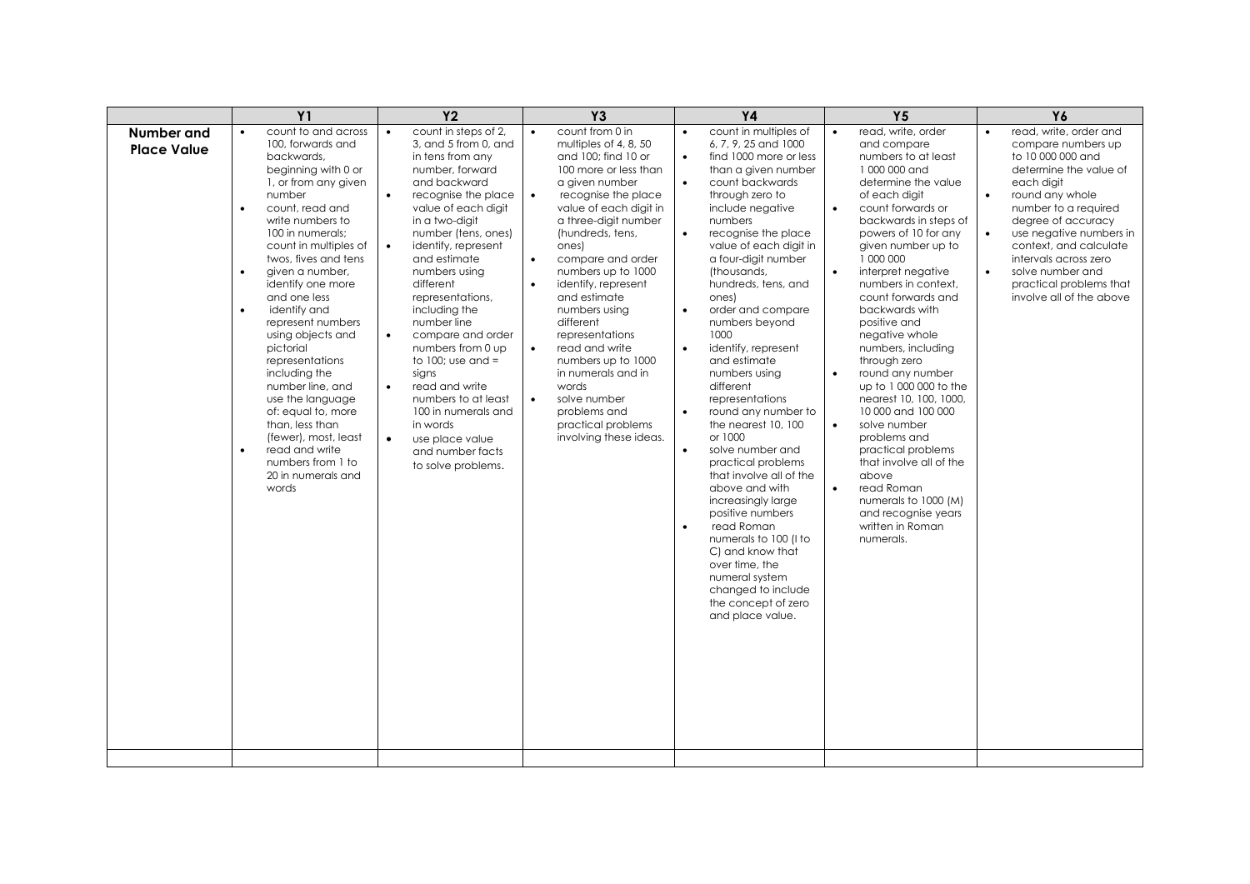|                                         | Y <sub>1</sub>                                                                                                                                                                                                                                                                                                                                                                                                                                                                                                                                                                                                       | <b>Y2</b>                                                                                                                                                                                                                                                                                                                                                                                                                                                                                                                                                                                                            | <b>Y3</b>                                                                                                                                                                                                                                                                                                                                                                                                                                                                                                                                                                                | <b>Y4</b>                                                                                                                                                                                                                                                                                                                                                                                                                                                                                                                                                                                                                                                                                                                                                                                                                                                                                           | Y <sub>5</sub>                                                                                                                                                                                                                                                                                                                                                                                                                                                                                                                                                                                                                                                                                                                                             | Y6                                                                                                                                                                                                                                                                                                                                                                         |
|-----------------------------------------|----------------------------------------------------------------------------------------------------------------------------------------------------------------------------------------------------------------------------------------------------------------------------------------------------------------------------------------------------------------------------------------------------------------------------------------------------------------------------------------------------------------------------------------------------------------------------------------------------------------------|----------------------------------------------------------------------------------------------------------------------------------------------------------------------------------------------------------------------------------------------------------------------------------------------------------------------------------------------------------------------------------------------------------------------------------------------------------------------------------------------------------------------------------------------------------------------------------------------------------------------|------------------------------------------------------------------------------------------------------------------------------------------------------------------------------------------------------------------------------------------------------------------------------------------------------------------------------------------------------------------------------------------------------------------------------------------------------------------------------------------------------------------------------------------------------------------------------------------|-----------------------------------------------------------------------------------------------------------------------------------------------------------------------------------------------------------------------------------------------------------------------------------------------------------------------------------------------------------------------------------------------------------------------------------------------------------------------------------------------------------------------------------------------------------------------------------------------------------------------------------------------------------------------------------------------------------------------------------------------------------------------------------------------------------------------------------------------------------------------------------------------------|------------------------------------------------------------------------------------------------------------------------------------------------------------------------------------------------------------------------------------------------------------------------------------------------------------------------------------------------------------------------------------------------------------------------------------------------------------------------------------------------------------------------------------------------------------------------------------------------------------------------------------------------------------------------------------------------------------------------------------------------------------|----------------------------------------------------------------------------------------------------------------------------------------------------------------------------------------------------------------------------------------------------------------------------------------------------------------------------------------------------------------------------|
| <b>Number and</b><br><b>Place Value</b> | count to and across<br>100, forwards and<br>backwards,<br>beginning with 0 or<br>1, or from any given<br>number<br>count, read and<br>$\bullet$<br>write numbers to<br>100 in numerals:<br>count in multiples of<br>twos, fives and tens<br>given a number,<br>$\bullet$<br>identify one more<br>and one less<br>identify and<br>represent numbers<br>using objects and<br>pictorial<br>representations<br>including the<br>number line, and<br>use the language<br>of: equal to, more<br>than, less than<br>(fewer), most, least<br>read and write<br>$\bullet$<br>numbers from 1 to<br>20 in numerals and<br>words | count in steps of 2,<br>$\bullet$<br>3, and 5 from 0, and<br>in tens from any<br>number, forward<br>and backward<br>$\bullet$<br>recognise the place<br>value of each digit<br>in a two-digit<br>number (tens, ones)<br>$\bullet$<br>identify, represent<br>and estimate<br>numbers using<br>different<br>representations,<br>including the<br>number line<br>$\bullet$<br>compare and order<br>numbers from 0 up<br>to 100; use and $=$<br>sians<br>read and write<br>$\bullet$<br>numbers to at least<br>100 in numerals and<br>in words<br>$\bullet$<br>use place value<br>and number facts<br>to solve problems. | count from 0 in<br>$\bullet$<br>multiples of 4, 8, 50<br>and 100; find 10 or<br>100 more or less than<br>a given number<br>$\bullet$<br>recognise the place<br>value of each digit in<br>a three-digit number<br>(hundreds, tens,<br>ones)<br>compare and order<br>$\bullet$<br>numbers up to 1000<br>identify, represent<br>$\bullet$<br>and estimate<br>numbers using<br>different<br>representations<br>read and write<br>$\bullet$<br>numbers up to 1000<br>in numerals and in<br>words<br>$\bullet$<br>solve number<br>problems and<br>practical problems<br>involving these ideas. | count in multiples of<br>$\bullet$<br>6, 7, 9, 25 and 1000<br>find 1000 more or less<br>$\bullet$<br>than a given number<br>count backwards<br>through zero to<br>include negative<br>numbers<br>$\bullet$<br>recognise the place<br>value of each digit in<br>a four-digit number<br>(thousands,<br>hundreds, tens, and<br>ones)<br>$\bullet$<br>order and compare<br>numbers beyond<br>1000<br>$\bullet$<br>identify, represent<br>and estimate<br>numbers using<br>different<br>representations<br>round any number to<br>$\bullet$<br>the nearest 10, 100<br>or 1000<br>solve number and<br>$\bullet$<br>practical problems<br>that involve all of the<br>above and with<br>increasingly large<br>positive numbers<br>read Roman<br>$\bullet$<br>numerals to 100 (I to<br>C) and know that<br>over time, the<br>numeral system<br>changed to include<br>the concept of zero<br>and place value. | read, write, order<br>$\bullet$<br>and compare<br>numbers to at least<br>1000 000 and<br>determine the value<br>of each digit<br>count forwards or<br>$\bullet$<br>backwards in steps of<br>powers of 10 for any<br>given number up to<br>1 000 000<br>interpret negative<br>$\bullet$<br>numbers in context,<br>count forwards and<br>backwards with<br>positive and<br>negative whole<br>numbers, including<br>through zero<br>round any number<br>$\bullet$<br>up to 1 000 000 to the<br>nearest 10, 100, 1000,<br>10 000 and 100 000<br>$\bullet$<br>solve number<br>problems and<br>practical problems<br>that involve all of the<br>above<br>read Roman<br>$\bullet$<br>numerals to 1000 (M)<br>and recognise years<br>written in Roman<br>numerals. | read, write, order and<br>$\bullet$<br>compare numbers up<br>to 10 000 000 and<br>determine the value of<br>each diait<br>round any whole<br>$\bullet$<br>number to a required<br>degree of accuracy<br>use negative numbers in<br>context, and calculate<br>intervals across zero<br>solve number and<br>$\bullet$<br>practical problems that<br>involve all of the above |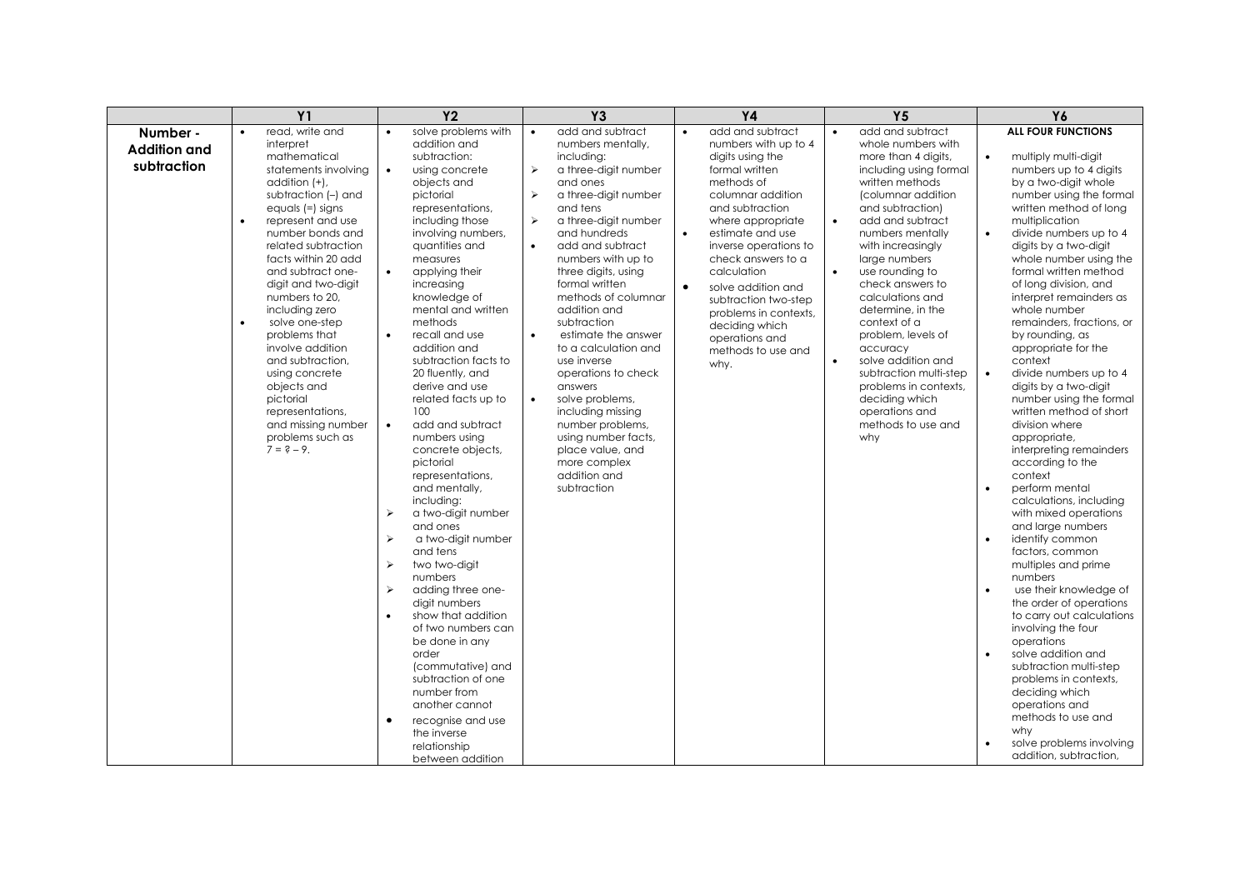|                                                             | Y <sub>1</sub>                                                                                                                                                                                                                                                                                                                                                                                                                                                                                                    | Y <sub>2</sub>                                                                                                                                                                                                                                                                                                                                                                                                                                                                                                                                                                                                                                                                                                                                                                                                                                                                                                                                                                                                                                                                    | <b>Y3</b>                                                                                                                                                                                                                                                                                                                                                                                                                                                                                                                                                                                                                                                                            | <b>Y4</b>                                                                                                                                                                                                                                                                                                                                                                                                                   | Y <sub>5</sub>                                                                                                                                                                                                                                                                                                                                                                                                                                                                                                                                                     | Y6                                                                                                                                                                                                                                                                                                                                                                                                                                                                                                                                                                                                                                                                                                                                                                                                                                                                                                                                                                                                                                                                                                                                                                          |
|-------------------------------------------------------------|-------------------------------------------------------------------------------------------------------------------------------------------------------------------------------------------------------------------------------------------------------------------------------------------------------------------------------------------------------------------------------------------------------------------------------------------------------------------------------------------------------------------|-----------------------------------------------------------------------------------------------------------------------------------------------------------------------------------------------------------------------------------------------------------------------------------------------------------------------------------------------------------------------------------------------------------------------------------------------------------------------------------------------------------------------------------------------------------------------------------------------------------------------------------------------------------------------------------------------------------------------------------------------------------------------------------------------------------------------------------------------------------------------------------------------------------------------------------------------------------------------------------------------------------------------------------------------------------------------------------|--------------------------------------------------------------------------------------------------------------------------------------------------------------------------------------------------------------------------------------------------------------------------------------------------------------------------------------------------------------------------------------------------------------------------------------------------------------------------------------------------------------------------------------------------------------------------------------------------------------------------------------------------------------------------------------|-----------------------------------------------------------------------------------------------------------------------------------------------------------------------------------------------------------------------------------------------------------------------------------------------------------------------------------------------------------------------------------------------------------------------------|--------------------------------------------------------------------------------------------------------------------------------------------------------------------------------------------------------------------------------------------------------------------------------------------------------------------------------------------------------------------------------------------------------------------------------------------------------------------------------------------------------------------------------------------------------------------|-----------------------------------------------------------------------------------------------------------------------------------------------------------------------------------------------------------------------------------------------------------------------------------------------------------------------------------------------------------------------------------------------------------------------------------------------------------------------------------------------------------------------------------------------------------------------------------------------------------------------------------------------------------------------------------------------------------------------------------------------------------------------------------------------------------------------------------------------------------------------------------------------------------------------------------------------------------------------------------------------------------------------------------------------------------------------------------------------------------------------------------------------------------------------------|
| Number -<br><b>Addition and</b><br>subtraction<br>$\bullet$ | read, write and<br>interpret<br>mathematical<br>statements involving<br>addition (+),<br>subtraction (-) and<br>equals $(=)$ signs<br>represent and use<br>number bonds and<br>related subtraction<br>facts within 20 add<br>and subtract one-<br>digit and two-digit<br>numbers to 20.<br>including zero<br>solve one-step<br>problems that<br>involve addition<br>and subtraction,<br>using concrete<br>objects and<br>pictorial<br>representations,<br>and missing number<br>problems such as<br>$7 = 2 - 9$ . | solve problems with<br>$\bullet$<br>addition and<br>subtraction:<br>$\bullet$<br>using concrete<br>objects and<br>pictorial<br>representations,<br>including those<br>involving numbers,<br>quantities and<br>measures<br>applying their<br>$\bullet$<br>increasing<br>knowledge of<br>mental and written<br>methods<br>recall and use<br>$\bullet$<br>addition and<br>subtraction facts to<br>20 fluently, and<br>derive and use<br>related facts up to<br>100<br>$\bullet$<br>add and subtract<br>numbers using<br>concrete objects,<br>pictorial<br>representations,<br>and mentally,<br>including:<br>$\blacktriangleright$<br>a two-digit number<br>and ones<br>$\blacktriangleright$<br>a two-digit number<br>and tens<br>$\blacktriangleright$<br>two two-digit<br>numbers<br>$\blacktriangleright$<br>adding three one-<br>digit numbers<br>show that addition<br>$\bullet$<br>of two numbers can<br>be done in any<br>order<br>(commutative) and<br>subtraction of one<br>number from<br>another cannot<br>recognise and use<br>$\bullet$<br>the inverse<br>relationship | add and subtract<br>$\bullet$<br>numbers mentally.<br>includina:<br>$\blacktriangleright$<br>a three-digit number<br>and ones<br>$\blacktriangleright$<br>a three-digit number<br>and tens<br>$\blacktriangleright$<br>a three-digit number<br>and hundreds<br>add and subtract<br>$\bullet$<br>numbers with up to<br>three digits, using<br>formal written<br>methods of columnar<br>addition and<br>subtraction<br>estimate the answer<br>to a calculation and<br>use inverse<br>operations to check<br>answers<br>solve problems,<br>$\bullet$<br>including missing<br>number problems,<br>using number facts,<br>place value, and<br>more complex<br>addition and<br>subtraction | add and subtract<br>$\bullet$<br>numbers with up to 4<br>digits using the<br>formal written<br>methods of<br>columnar addition<br>and subtraction<br>where appropriate<br>$\bullet$<br>estimate and use<br>inverse operations to<br>check answers to a<br>calculation<br>$\bullet$<br>solve addition and<br>subtraction two-step<br>problems in contexts,<br>deciding which<br>operations and<br>methods to use and<br>why. | add and subtract<br>$\bullet$<br>whole numbers with<br>more than 4 digits,<br>including using formal<br>written methods<br>(columnar addition<br>and subtraction)<br>add and subtract<br>$\bullet$<br>numbers mentally<br>with increasingly<br>large numbers<br>use rounding to<br>$\bullet$<br>check answers to<br>calculations and<br>determine, in the<br>context of a<br>problem, levels of<br>accuracy<br>solve addition and<br>$\bullet$<br>subtraction multi-step<br>problems in contexts,<br>deciding which<br>operations and<br>methods to use and<br>why | <b>ALL FOUR FUNCTIONS</b><br>multiply multi-digit<br>$\bullet$<br>numbers up to 4 digits<br>by a two-digit whole<br>number using the formal<br>written method of long<br>multiplication<br>$\bullet$<br>divide numbers up to 4<br>digits by a two-digit<br>whole number using the<br>formal written method<br>of long division, and<br>interpret remainders as<br>whole number<br>remainders, fractions, or<br>by rounding, as<br>appropriate for the<br>context<br>$\bullet$<br>divide numbers up to 4<br>digits by a two-digit<br>number using the formal<br>written method of short<br>division where<br>appropriate,<br>interpreting remainders<br>according to the<br>context<br>perform mental<br>$\bullet$<br>calculations, including<br>with mixed operations<br>and large numbers<br>identify common<br>factors, common<br>multiples and prime<br>numbers<br>use their knowledge of<br>$\bullet$<br>the order of operations<br>to carry out calculations<br>involving the four<br>operations<br>solve addition and<br>subtraction multi-step<br>problems in contexts,<br>deciding which<br>operations and<br>methods to use and<br>why<br>solve problems involving |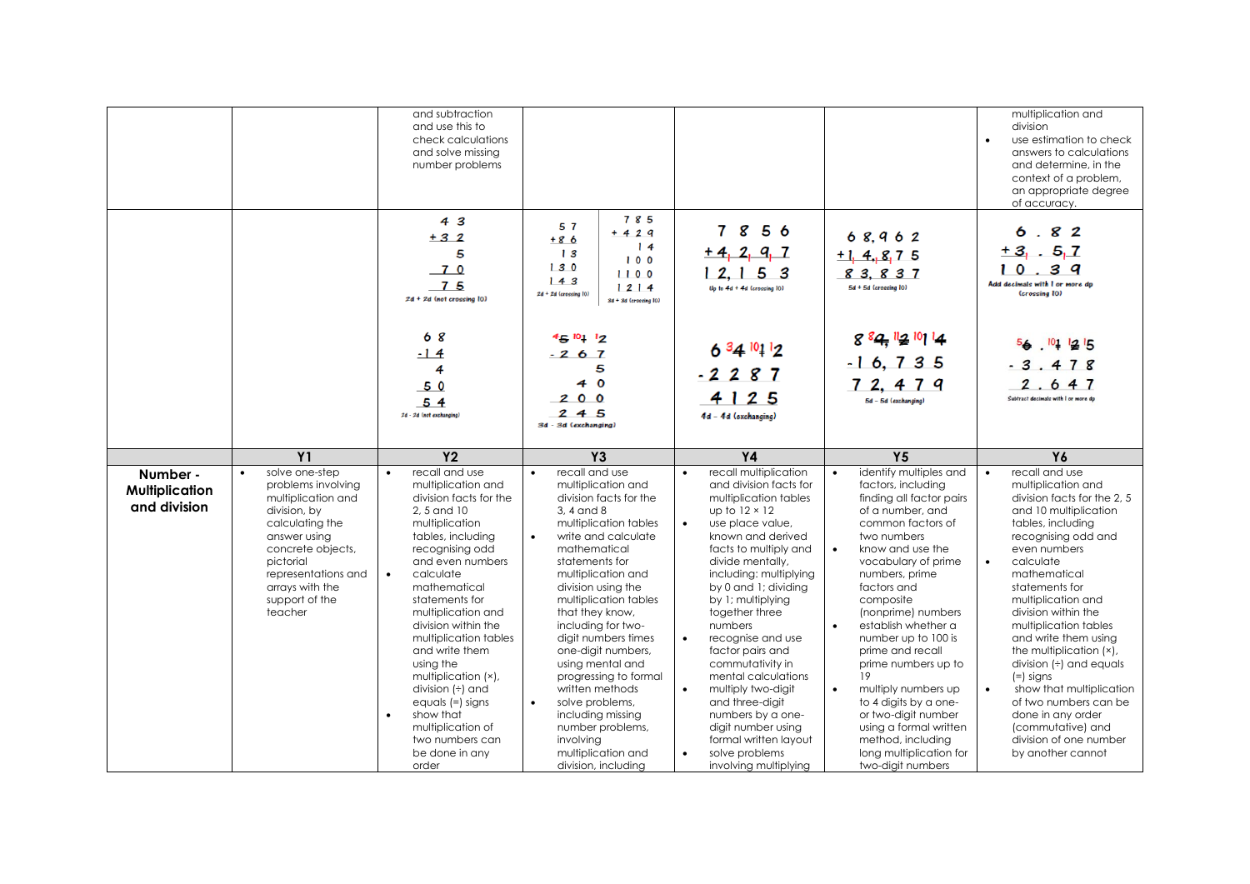|                                                   |                                                                                                                                                                                                                        | and subtraction<br>and use this to<br>check calculations<br>and solve missing<br>number problems                                                                                                                                                                                                                                                                          |                                                                                                                                                                                                                                                                                                                                                                                     |                                                                                                                                                                                                                                                                                                                                                                                                                                |                                                                                                                                                                                                                                                                                                                                                                                                              | multiplication and<br>division<br>use estimation to check<br>answers to calculations<br>and determine, in the<br>context of a problem,<br>an appropriate degree<br>of accuracy.                                                                                                                                                                                                                             |
|---------------------------------------------------|------------------------------------------------------------------------------------------------------------------------------------------------------------------------------------------------------------------------|---------------------------------------------------------------------------------------------------------------------------------------------------------------------------------------------------------------------------------------------------------------------------------------------------------------------------------------------------------------------------|-------------------------------------------------------------------------------------------------------------------------------------------------------------------------------------------------------------------------------------------------------------------------------------------------------------------------------------------------------------------------------------|--------------------------------------------------------------------------------------------------------------------------------------------------------------------------------------------------------------------------------------------------------------------------------------------------------------------------------------------------------------------------------------------------------------------------------|--------------------------------------------------------------------------------------------------------------------------------------------------------------------------------------------------------------------------------------------------------------------------------------------------------------------------------------------------------------------------------------------------------------|-------------------------------------------------------------------------------------------------------------------------------------------------------------------------------------------------------------------------------------------------------------------------------------------------------------------------------------------------------------------------------------------------------------|
|                                                   |                                                                                                                                                                                                                        | 43<br>$+32$<br>5<br>$-70$<br>$-75$<br>$2d + 2d$ (not crossing $10$ )                                                                                                                                                                                                                                                                                                      | 785<br>5 7<br>$+ 4 2 9$<br>$+86$<br>14<br>13<br>100<br>130<br>1100<br>143<br>1214<br>$2d + 2d$ (crossing $10$ )<br>3d + 3d (crossing 10)                                                                                                                                                                                                                                            | 7856<br>$+4, 2, 9, 7$<br>12, 153<br>$Up to 4d + 4d$ (crossing $IO)$                                                                                                                                                                                                                                                                                                                                                            | 68,962<br>$+1$ , 4, 8, 7 5<br>83.837<br>5d + 5d (crossing 10)                                                                                                                                                                                                                                                                                                                                                | 6.82<br>$+3$ , $-5$ , 7<br>10.39<br>.<br>Add decimals with I or more dp<br>(crossing 10)                                                                                                                                                                                                                                                                                                                    |
|                                                   |                                                                                                                                                                                                                        | 68<br>$-14$<br>4<br>50<br>54<br>2d - 2d (not exchanging)                                                                                                                                                                                                                                                                                                                  | $45^{10}112$<br>$-267$<br>5<br>40<br>200<br>245<br>3d - 3d (exchanging)                                                                                                                                                                                                                                                                                                             | $63410112$<br>$-2287$<br>4 1 2 5<br>4d - 4d (exchanging)                                                                                                                                                                                                                                                                                                                                                                       | 8 84 2 10 14<br>$-16, 735$<br>72, 479<br>5d - 5d (exchanging)                                                                                                                                                                                                                                                                                                                                                | 56.1011215<br>$-3.478$<br>2.647<br>Subtract decimals with I or more dp                                                                                                                                                                                                                                                                                                                                      |
|                                                   | <b>Y1</b>                                                                                                                                                                                                              | Y <sub>2</sub>                                                                                                                                                                                                                                                                                                                                                            | Y <sub>3</sub>                                                                                                                                                                                                                                                                                                                                                                      | <b>Y4</b>                                                                                                                                                                                                                                                                                                                                                                                                                      | <b>Y5</b>                                                                                                                                                                                                                                                                                                                                                                                                    | Y6                                                                                                                                                                                                                                                                                                                                                                                                          |
| Number -<br><b>Multiplication</b><br>and division | solve one-step<br>problems involving<br>multiplication and<br>division, by<br>calculating the<br>answer using<br>concrete objects,<br>pictorial<br>representations and<br>arrays with the<br>support of the<br>teacher | recall and use<br>multiplication and<br>division facts for the<br>2, 5 and 10<br>multiplication<br>tables, including<br>recognising odd<br>and even numbers<br>$\bullet$<br>calculate<br>mathematical<br>statements for<br>multiplication and<br>division within the<br>multiplication tables<br>and write them<br>using the<br>multiplication (x),<br>division $(+)$ and | recall and use<br>multiplication and<br>division facts for the<br>3, 4 and 8<br>multiplication tables<br>write and calculate<br>$\bullet$<br>mathematical<br>statements for<br>multiplication and<br>division using the<br>multiplication tables<br>that they know,<br>including for two-<br>digit numbers times<br>one-digit numbers,<br>using mental and<br>progressing to formal | recall multiplication<br>and division facts for<br>multiplication tables<br>up to $12 \times 12$<br>use place value,<br>known and derived<br>facts to multiply and<br>divide mentally,<br>including: multiplying<br>by 0 and 1; dividing<br>by 1; multiplying<br>together three<br>numbers<br>recognise and use<br>$\bullet$<br>factor pairs and<br>commutativity in<br>mental calculations<br>multiply two-digit<br>$\bullet$ | identify multiples and<br>factors, includina<br>finding all factor pairs<br>of a number, and<br>common factors of<br>two numbers<br>know and use the<br>$\bullet$<br>vocabulary of prime<br>numbers, prime<br>factors and<br>composite<br>(nonprime) numbers<br>establish whether a<br>$\bullet$<br>number up to 100 is<br>prime and recall<br>prime numbers up to<br>19<br>multiply numbers up<br>$\bullet$ | recall and use<br>multiplication and<br>division facts for the 2, 5<br>and 10 multiplication<br>tables, including<br>recognising odd and<br>even numbers<br>calculate<br>mathematical<br>statements for<br>multiplication and<br>division within the<br>multiplication tables<br>and write them using<br>the multiplication (x),<br>division $(\div)$ and equals<br>$(=)$ signs<br>show that multiplication |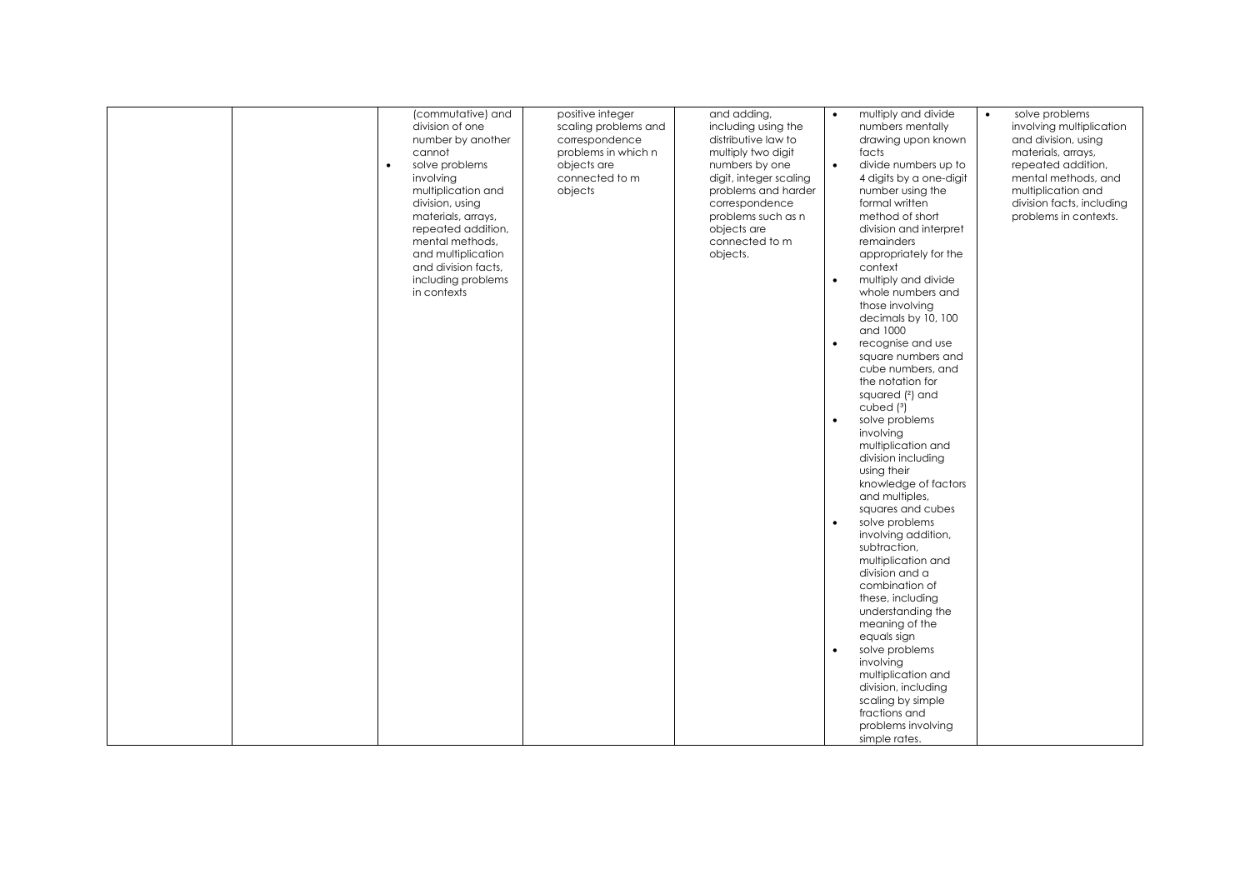|  | (commutative) and<br>division of one<br>number by another<br>cannot<br>solve problems<br>$\bullet$<br>involving<br>multiplication and<br>division, using<br>materials, arrays,<br>repeated addition,<br>mental methods,<br>and multiplication<br>and division facts,<br>including problems<br>in contexts | positive integer<br>scaling problems and<br>correspondence<br>problems in which n<br>objects are<br>connected to m<br>objects | and adding,<br>including using the<br>distributive law to<br>multiply two digit<br>numbers by one<br>digit, integer scaling<br>problems and harder<br>correspondence<br>problems such as n<br>objects are<br>connected to m<br>objects. | $\bullet$<br>$\bullet$<br>$\bullet$<br>$\bullet$<br>$\bullet$<br>$\bullet$<br>$\bullet$ | multiply and divide<br>numbers mentally<br>drawing upon known<br>facts<br>divide numbers up to<br>4 digits by a one-digit<br>number using the<br>formal written<br>method of short<br>division and interpret<br>remainders<br>appropriately for the<br>context<br>multiply and divide<br>whole numbers and<br>those involving<br>decimals by 10, 100<br>and 1000<br>recognise and use<br>square numbers and<br>cube numbers, and<br>the notation for<br>squared (2) and<br>cubed $(3)$<br>solve problems<br>involving<br>multiplication and<br>division including<br>using their<br>knowledge of factors<br>and multiples,<br>squares and cubes<br>solve problems<br>involving addition,<br>subtraction,<br>multiplication and<br>division and a<br>combination of<br>these, including<br>understanding the<br>meaning of the<br>equals sign<br>solve problems<br>involving<br>multiplication and<br>division, including<br>scaling by simple<br>fractions and | $\bullet$ | solve problems<br>involving multiplication<br>and division, using<br>materials, arrays,<br>repeated addition,<br>mental methods, and<br>multiplication and<br>division facts, including<br>problems in contexts. |
|--|-----------------------------------------------------------------------------------------------------------------------------------------------------------------------------------------------------------------------------------------------------------------------------------------------------------|-------------------------------------------------------------------------------------------------------------------------------|-----------------------------------------------------------------------------------------------------------------------------------------------------------------------------------------------------------------------------------------|-----------------------------------------------------------------------------------------|----------------------------------------------------------------------------------------------------------------------------------------------------------------------------------------------------------------------------------------------------------------------------------------------------------------------------------------------------------------------------------------------------------------------------------------------------------------------------------------------------------------------------------------------------------------------------------------------------------------------------------------------------------------------------------------------------------------------------------------------------------------------------------------------------------------------------------------------------------------------------------------------------------------------------------------------------------------|-----------|------------------------------------------------------------------------------------------------------------------------------------------------------------------------------------------------------------------|
|  |                                                                                                                                                                                                                                                                                                           |                                                                                                                               |                                                                                                                                                                                                                                         |                                                                                         | problems involving                                                                                                                                                                                                                                                                                                                                                                                                                                                                                                                                                                                                                                                                                                                                                                                                                                                                                                                                             |           |                                                                                                                                                                                                                  |
|  |                                                                                                                                                                                                                                                                                                           |                                                                                                                               |                                                                                                                                                                                                                                         |                                                                                         | simple rates.                                                                                                                                                                                                                                                                                                                                                                                                                                                                                                                                                                                                                                                                                                                                                                                                                                                                                                                                                  |           |                                                                                                                                                                                                                  |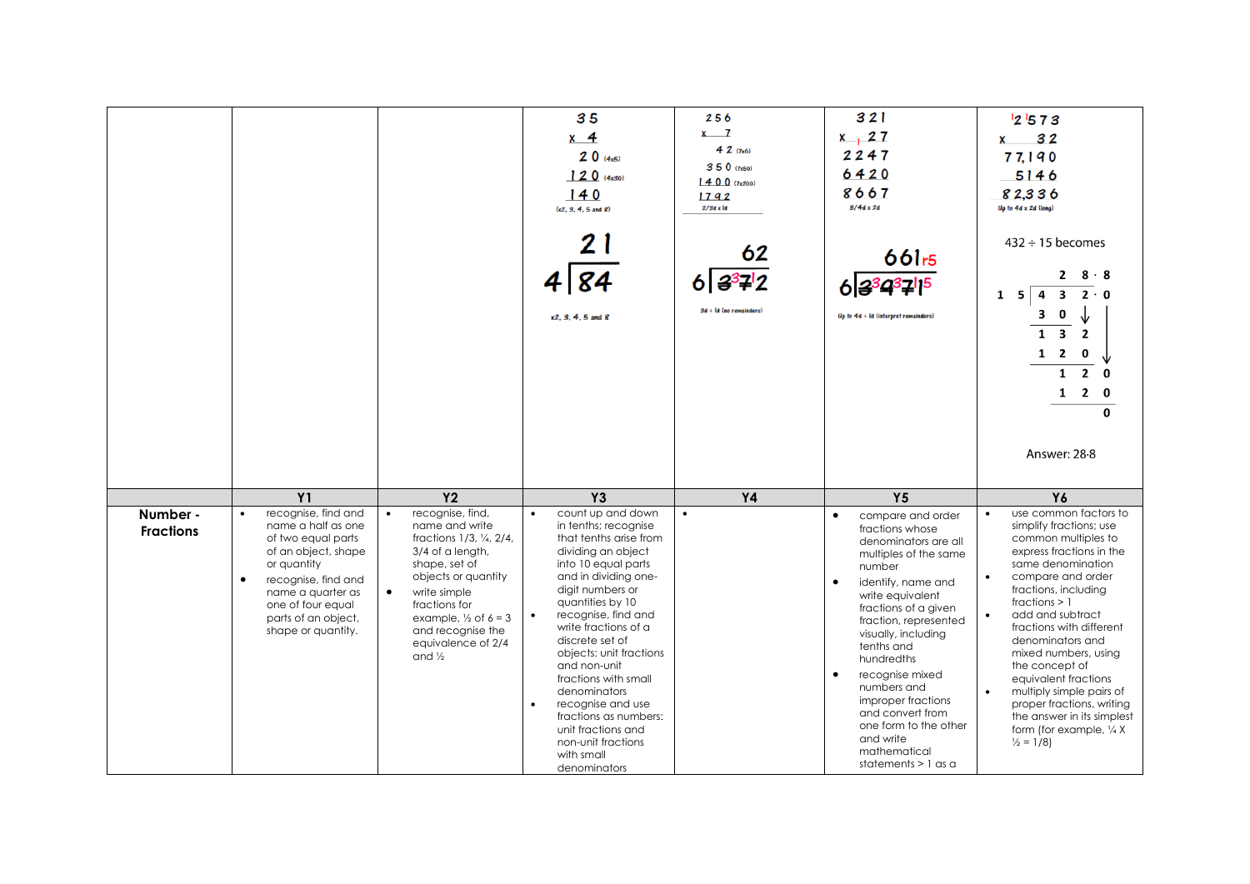|                              |                                                                                                                                                                                                                                  |                                                                                                                                                                                                                                                                                            | 35<br>$x \quad 4$<br>20(4x5)<br>120(4x30)<br>140<br>(x2, 3, 4, 5, and 8)<br>84<br>x2, 3, 4, 5 and 8                                                                                                                                                                                                                                                                                                                                                                                     | 256<br>$x \overline{7}$<br>42(7x6)<br>350 (7x50)<br>1400(7x200)<br>1792<br>$2/3d \times ld$<br>62<br>$6 3^37^12$<br>$3d + Id$ (no remainders) | 321<br>$x$ , 27<br>2247<br>6420<br>8667<br>$3/4d \times 2d$<br>661 <sub>r5</sub><br>Up to $4d + Id$ (interpret remainders)                                                                                                                                                                                                                                                                                                                      | 121573<br>32<br>x<br>77,190<br>5146<br>82,336<br>Up to 4d x 2d (long)<br>$432 \div 15$ becomes<br>$8 \cdot 8$<br>$2 \cdot 0$<br>$\overline{\mathbf{3}}$<br>4<br>$1\quad 5$<br>0<br>3.<br>$\overline{\mathbf{3}}$<br>$\overline{2}$<br>$1\quad 2$<br>0<br>$2^{\circ}$<br>$\mathbf{1}$<br>$\Omega$<br>$\overline{2}$<br>1<br><sup>0</sup><br>$\bf{0}$<br>Answer: 28-8                                                                                                                                  |
|------------------------------|----------------------------------------------------------------------------------------------------------------------------------------------------------------------------------------------------------------------------------|--------------------------------------------------------------------------------------------------------------------------------------------------------------------------------------------------------------------------------------------------------------------------------------------|-----------------------------------------------------------------------------------------------------------------------------------------------------------------------------------------------------------------------------------------------------------------------------------------------------------------------------------------------------------------------------------------------------------------------------------------------------------------------------------------|-----------------------------------------------------------------------------------------------------------------------------------------------|-------------------------------------------------------------------------------------------------------------------------------------------------------------------------------------------------------------------------------------------------------------------------------------------------------------------------------------------------------------------------------------------------------------------------------------------------|------------------------------------------------------------------------------------------------------------------------------------------------------------------------------------------------------------------------------------------------------------------------------------------------------------------------------------------------------------------------------------------------------------------------------------------------------------------------------------------------------|
|                              | Y1                                                                                                                                                                                                                               | <b>Y2</b>                                                                                                                                                                                                                                                                                  | <b>Y3</b>                                                                                                                                                                                                                                                                                                                                                                                                                                                                               | <b>Y4</b>                                                                                                                                     | Y5                                                                                                                                                                                                                                                                                                                                                                                                                                              | Y6                                                                                                                                                                                                                                                                                                                                                                                                                                                                                                   |
| Number -<br><b>Fractions</b> | recognise, find and<br>name a half as one<br>of two equal parts<br>of an object, shape<br>or quantity<br>$\bullet$<br>recognise, find and<br>name a quarter as<br>one of four equal<br>parts of an object,<br>shape or quantity. | recognise, find,<br>$\bullet$<br>name and write<br>fractions 1/3, 1/4, 2/4,<br>3/4 of a length,<br>shape, set of<br>objects or quantity<br>write simple<br>$\bullet$<br>fractions for<br>example, $\frac{1}{2}$ of $6 = 3$<br>and recognise the<br>equivalence of 2/4<br>and $\frac{1}{2}$ | count up and down<br>$\bullet$<br>in tenths; recognise<br>that tenths arise from<br>dividing an object<br>into 10 equal parts<br>and in dividing one-<br>digit numbers or<br>quantities by 10<br>recognise, find and<br>write fractions of a<br>discrete set of<br>objects: unit fractions<br>and non-unit<br>fractions with small<br>denominators<br>recognise and use<br>$\bullet$<br>fractions as numbers:<br>unit fractions and<br>non-unit fractions<br>with small<br>denominators | $\bullet$                                                                                                                                     | $\bullet$<br>compare and order<br>fractions whose<br>denominators are all<br>multiples of the same<br>number<br>$\bullet$<br>identify, name and<br>write equivalent<br>fractions of a given<br>fraction, represented<br>visually, including<br>tenths and<br>hundredths<br>recognise mixed<br>$\bullet$<br>numbers and<br>improper fractions<br>and convert from<br>one form to the other<br>and write<br>mathematical<br>statements $> 1$ as a | use common factors to<br>$\bullet$<br>simplify fractions; use<br>common multiples to<br>express fractions in the<br>same denomination<br>compare and order<br>$\bullet$<br>fractions, including<br>fractions $> 1$<br>add and subtract<br>fractions with different<br>denominators and<br>mixed numbers, using<br>the concept of<br>equivalent fractions<br>multiply simple pairs of<br>proper fractions, writing<br>the answer in its simplest<br>form (for example, 1/4 X)<br>$\frac{1}{2}$ = 1/8) |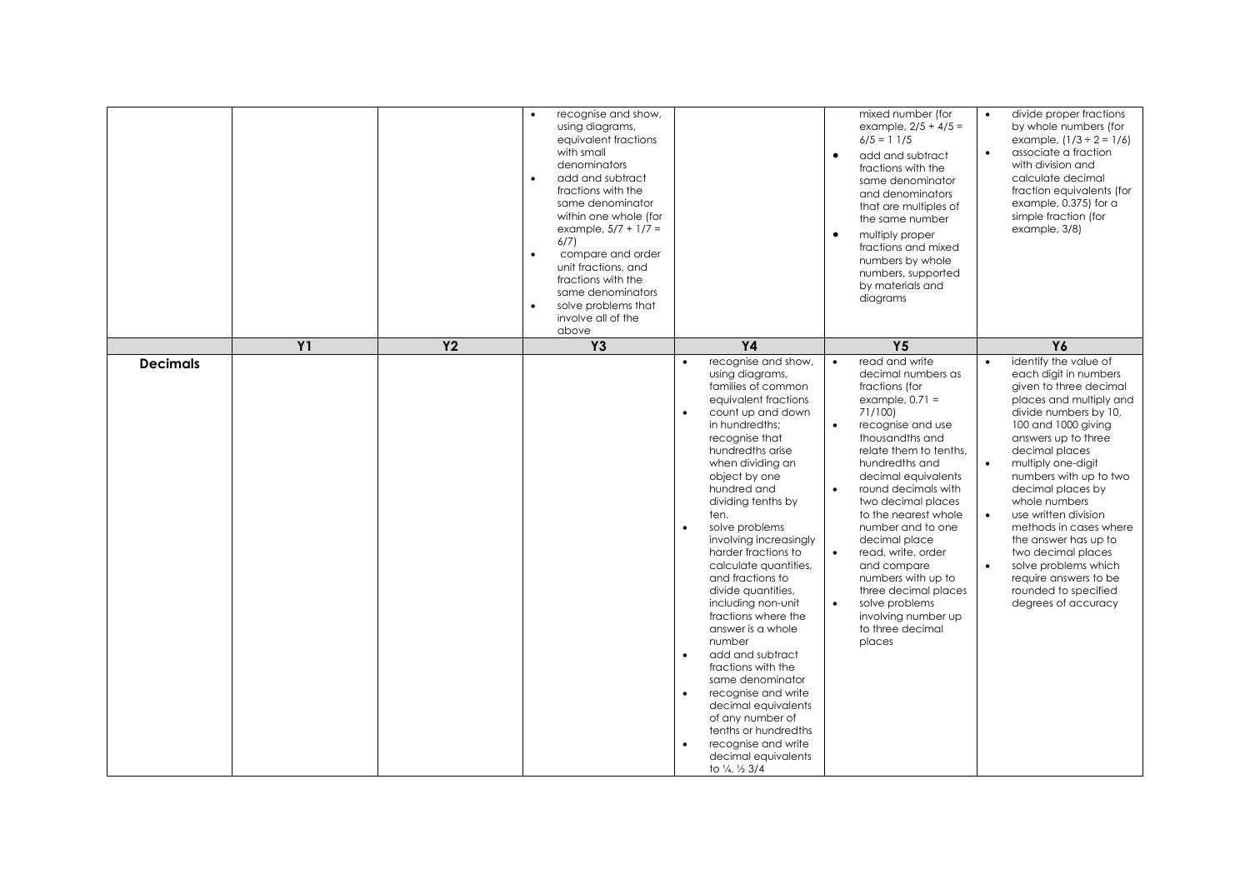|                 |           |           | recognise and show,<br>using diagrams,<br>equivalent fractions<br>with small<br>denominators<br>add and subtract<br>$\bullet$<br>fractions with the<br>same denominator<br>within one whole (for<br>example, $5/7 + 1/7 =$<br>6/7<br>$\bullet$<br>compare and order<br>unit fractions, and<br>fractions with the<br>same denominators<br>solve problems that<br>$\bullet$<br>involve all of the<br>above |                                                                                                                                                                                                                                                                                                                                                                                                                                                                                                                                                                                                                                                                                                                                       | mixed number (for<br>example, $2/5 + 4/5 =$<br>$6/5 = 11/5$<br>$\bullet$<br>add and subtract<br>fractions with the<br>same denominator<br>and denominators<br>that are multiples of<br>the same number<br>$\bullet$<br>multiply proper<br>fractions and mixed<br>numbers by whole<br>numbers, supported<br>by materials and<br>diagrams                                                                                                                                                                                                 | divide proper fractions<br>by whole numbers (for<br>example, $(1/3 \div 2 = 1/6)$<br>associate a fraction<br>$\bullet$<br>with division and<br>calculate decimal<br>fraction equivalents (for<br>example, 0.375) for a<br>simple fraction (for<br>example, 3/8)                                                                                                                                                                                                                                                           |
|-----------------|-----------|-----------|----------------------------------------------------------------------------------------------------------------------------------------------------------------------------------------------------------------------------------------------------------------------------------------------------------------------------------------------------------------------------------------------------------|---------------------------------------------------------------------------------------------------------------------------------------------------------------------------------------------------------------------------------------------------------------------------------------------------------------------------------------------------------------------------------------------------------------------------------------------------------------------------------------------------------------------------------------------------------------------------------------------------------------------------------------------------------------------------------------------------------------------------------------|-----------------------------------------------------------------------------------------------------------------------------------------------------------------------------------------------------------------------------------------------------------------------------------------------------------------------------------------------------------------------------------------------------------------------------------------------------------------------------------------------------------------------------------------|---------------------------------------------------------------------------------------------------------------------------------------------------------------------------------------------------------------------------------------------------------------------------------------------------------------------------------------------------------------------------------------------------------------------------------------------------------------------------------------------------------------------------|
|                 | <b>Y1</b> | <b>Y2</b> | <b>Y3</b>                                                                                                                                                                                                                                                                                                                                                                                                | <b>Y4</b>                                                                                                                                                                                                                                                                                                                                                                                                                                                                                                                                                                                                                                                                                                                             | Y <sub>5</sub>                                                                                                                                                                                                                                                                                                                                                                                                                                                                                                                          | Y6                                                                                                                                                                                                                                                                                                                                                                                                                                                                                                                        |
| <b>Decimals</b> |           |           |                                                                                                                                                                                                                                                                                                                                                                                                          | recognise and show,<br>using diagrams,<br>families of common<br>equivalent fractions<br>count up and down<br>$\bullet$<br>in hundredths;<br>recognise that<br>hundredths arise<br>when dividing an<br>object by one<br>hundred and<br>dividing tenths by<br>ten.<br>solve problems<br>involving increasingly<br>harder fractions to<br>calculate quantities,<br>and fractions to<br>divide quantities,<br>including non-unit<br>fractions where the<br>answer is a whole<br>number<br>add and subtract<br>$\bullet$<br>fractions with the<br>same denominator<br>recognise and write<br>$\bullet$<br>decimal equivalents<br>of any number of<br>tenths or hundredths<br>recognise and write<br>decimal equivalents<br>to 1/4, 1/2 3/4 | read and write<br>$\bullet$<br>decimal numbers as<br>fractions (for<br>example, $0.71 =$<br>71/100)<br>recognise and use<br>$\bullet$<br>thousandths and<br>relate them to tenths,<br>hundredths and<br>decimal equivalents<br>round decimals with<br>$\bullet$<br>two decimal places<br>to the nearest whole<br>number and to one<br>decimal place<br>read, write, order<br>$\bullet$<br>and compare<br>numbers with up to<br>three decimal places<br>solve problems<br>$\bullet$<br>involving number up<br>to three decimal<br>places | identify the value of<br>each digit in numbers<br>given to three decimal<br>places and multiply and<br>divide numbers by 10,<br>100 and 1000 giving<br>answers up to three<br>decimal places<br>$\bullet$<br>multiply one-digit<br>numbers with up to two<br>decimal places by<br>whole numbers<br>use written division<br>$\bullet$<br>methods in cases where<br>the answer has up to<br>two decimal places<br>$\bullet$<br>solve problems which<br>require answers to be<br>rounded to specified<br>degrees of accuracy |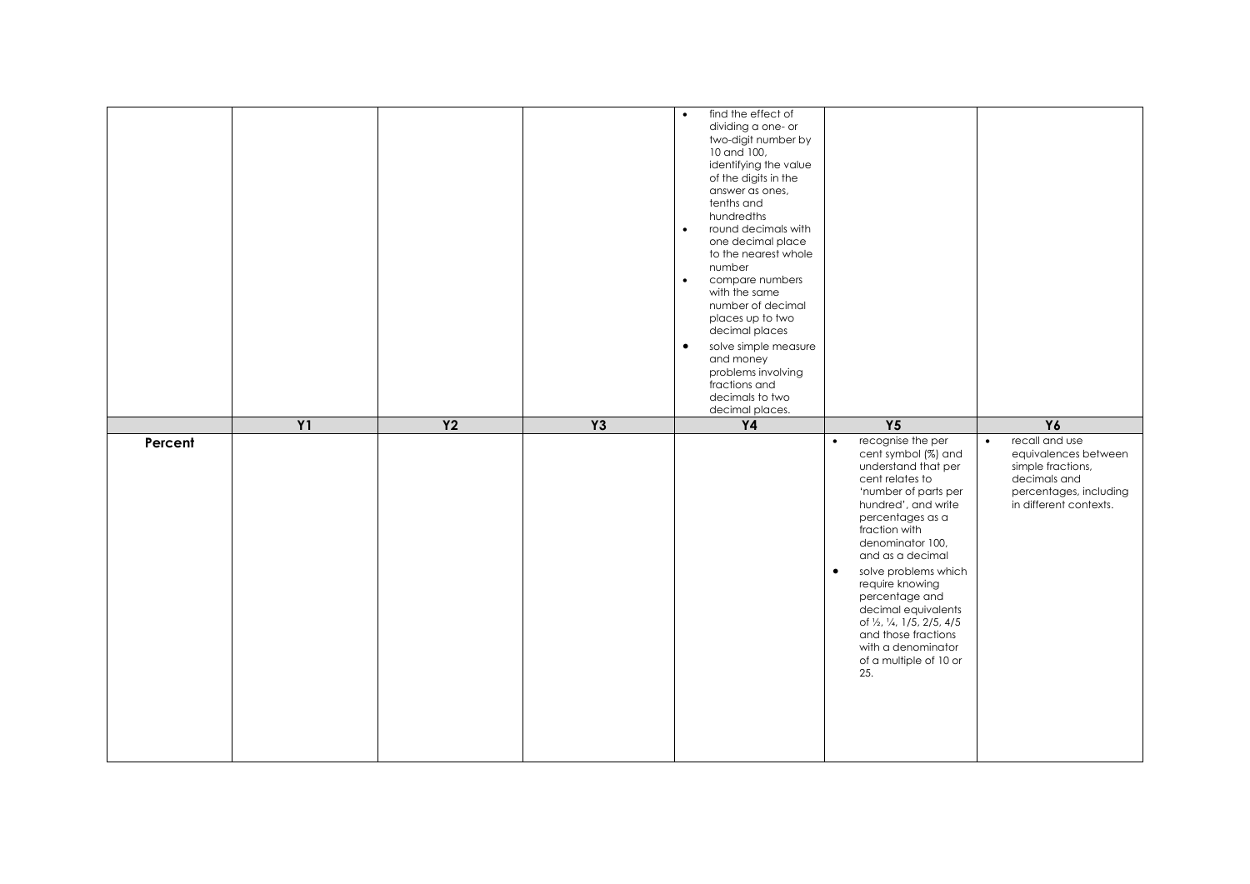|         |           |                |           | find the effect of<br>$\bullet$<br>dividing a one- or<br>two-digit number by<br>10 and 100,<br>identifying the value<br>of the digits in the<br>answer as ones,<br>tenths and<br>hundredths<br>round decimals with<br>$\bullet$<br>one decimal place<br>to the nearest whole<br>number<br>compare numbers<br>$\bullet$<br>with the same<br>number of decimal<br>places up to two<br>decimal places<br>$\bullet$<br>solve simple measure<br>and money<br>problems involving<br>fractions and<br>decimals to two |                                                                                                                                                                                                                                                                                                                                                                                                                                          |                                                                                                                                              |
|---------|-----------|----------------|-----------|----------------------------------------------------------------------------------------------------------------------------------------------------------------------------------------------------------------------------------------------------------------------------------------------------------------------------------------------------------------------------------------------------------------------------------------------------------------------------------------------------------------|------------------------------------------------------------------------------------------------------------------------------------------------------------------------------------------------------------------------------------------------------------------------------------------------------------------------------------------------------------------------------------------------------------------------------------------|----------------------------------------------------------------------------------------------------------------------------------------------|
|         | <b>Y1</b> | Y <sub>2</sub> | <b>Y3</b> | decimal places.<br>$\mathsf{Y4}$                                                                                                                                                                                                                                                                                                                                                                                                                                                                               | Y <sub>5</sub>                                                                                                                                                                                                                                                                                                                                                                                                                           | Y6                                                                                                                                           |
| Percent |           |                |           |                                                                                                                                                                                                                                                                                                                                                                                                                                                                                                                | recognise the per<br>$\bullet$<br>cent symbol (%) and<br>understand that per<br>cent relates to<br>'number of parts per<br>hundred', and write<br>percentages as a<br>fraction with<br>denominator 100,<br>and as a decimal<br>solve problems which<br>$\bullet$<br>require knowing<br>percentage and<br>decimal equivalents<br>of 1/2, 1/4, 1/5, 2/5, 4/5<br>and those fractions<br>with a denominator<br>of a multiple of 10 or<br>25. | recall and use<br>$\bullet$<br>equivalences between<br>simple fractions,<br>decimals and<br>percentages, including<br>in different contexts. |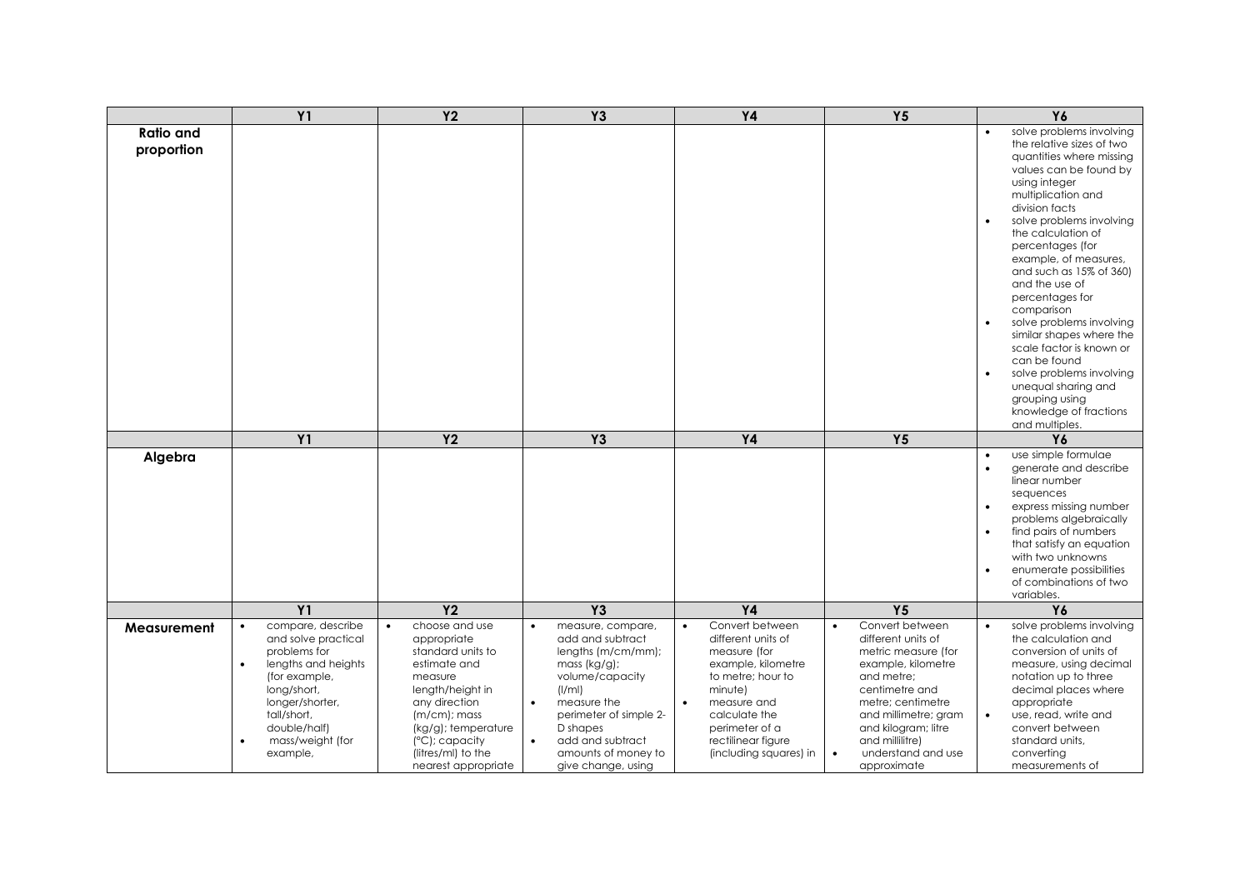|                                | <b>Y1</b>                                                                                                                                                                                                                   | Y <sub>2</sub>                                                                                                                                                                                                                                     | <b>Y3</b>                                                                                                                                                                                                                                                | <b>Y4</b>                                                                                                                                                                                                                  | Y <sub>5</sub>                                                                                                                                                                                                                                              | Y6                                                                                                                                                                                                                                                                                                                                                                                                                                                                                                                                                                                                            |
|--------------------------------|-----------------------------------------------------------------------------------------------------------------------------------------------------------------------------------------------------------------------------|----------------------------------------------------------------------------------------------------------------------------------------------------------------------------------------------------------------------------------------------------|----------------------------------------------------------------------------------------------------------------------------------------------------------------------------------------------------------------------------------------------------------|----------------------------------------------------------------------------------------------------------------------------------------------------------------------------------------------------------------------------|-------------------------------------------------------------------------------------------------------------------------------------------------------------------------------------------------------------------------------------------------------------|---------------------------------------------------------------------------------------------------------------------------------------------------------------------------------------------------------------------------------------------------------------------------------------------------------------------------------------------------------------------------------------------------------------------------------------------------------------------------------------------------------------------------------------------------------------------------------------------------------------|
| <b>Ratio and</b><br>proportion |                                                                                                                                                                                                                             |                                                                                                                                                                                                                                                    |                                                                                                                                                                                                                                                          |                                                                                                                                                                                                                            |                                                                                                                                                                                                                                                             | solve problems involving<br>the relative sizes of two<br>quantities where missing<br>values can be found by<br>using integer<br>multiplication and<br>division facts<br>solve problems involving<br>$\bullet$<br>the calculation of<br>percentages (for<br>example, of measures,<br>and such as 15% of 360)<br>and the use of<br>percentages for<br>comparison<br>solve problems involving<br>$\bullet$<br>similar shapes where the<br>scale factor is known or<br>can be found<br>solve problems involving<br>$\bullet$<br>unequal sharing and<br>grouping using<br>knowledge of fractions<br>and multiples. |
|                                | <b>Y1</b>                                                                                                                                                                                                                   | <b>Y2</b>                                                                                                                                                                                                                                          | <b>Y3</b>                                                                                                                                                                                                                                                | <b>Y4</b>                                                                                                                                                                                                                  | Y <sub>5</sub>                                                                                                                                                                                                                                              | Y6                                                                                                                                                                                                                                                                                                                                                                                                                                                                                                                                                                                                            |
| Algebra                        |                                                                                                                                                                                                                             |                                                                                                                                                                                                                                                    |                                                                                                                                                                                                                                                          |                                                                                                                                                                                                                            |                                                                                                                                                                                                                                                             | use simple formulae<br>$\bullet$<br>generate and describe<br>$\bullet$<br>linear number<br>sequences<br>express missing number<br>$\bullet$<br>problems algebraically<br>find pairs of numbers<br>$\bullet$<br>that satisfy an equation<br>with two unknowns<br>enumerate possibilities<br>$\bullet$<br>of combinations of two<br>variables.                                                                                                                                                                                                                                                                  |
|                                | <b>Y1</b>                                                                                                                                                                                                                   | Y <sub>2</sub>                                                                                                                                                                                                                                     | <b>Y3</b>                                                                                                                                                                                                                                                | <b>Y4</b>                                                                                                                                                                                                                  | Y <sub>5</sub>                                                                                                                                                                                                                                              | Y6                                                                                                                                                                                                                                                                                                                                                                                                                                                                                                                                                                                                            |
| Measurement                    | compare, describe<br>$\bullet$<br>and solve practical<br>problems for<br>lengths and heights<br>$\bullet$<br>(for example,<br>long/short,<br>longer/shorter,<br>tall/short,<br>double/half)<br>mass/weight (for<br>example, | choose and use<br>$\bullet$<br>appropriate<br>standard units to<br>estimate and<br>measure<br>length/height in<br>any direction<br>$(m/cm)$ ; mass<br>(kg/g); temperature<br>$(^{\circ}C)$ ; capacity<br>(litres/ml) to the<br>nearest appropriate | measure, compare,<br>add and subtract<br>lengths (m/cm/mm);<br>mass (kg/g);<br>volume/capacity<br>(1/ml)<br>measure the<br>$\bullet$<br>perimeter of simple 2-<br>D shapes<br>add and subtract<br>$\bullet$<br>amounts of money to<br>give change, using | Convert between<br>different units of<br>measure (for<br>example, kilometre<br>to metre; hour to<br>minute)<br>measure and<br>$\bullet$<br>calculate the<br>perimeter of a<br>rectilinear figure<br>(including squares) in | Convert between<br>different units of<br>metric measure (for<br>example, kilometre<br>and metre;<br>centimetre and<br>metre; centimetre<br>and millimetre; gram<br>and kilogram; litre<br>and millilitre)<br>understand and use<br>$\bullet$<br>approximate | solve problems involving<br>the calculation and<br>conversion of units of<br>measure, using decimal<br>notation up to three<br>decimal places where<br>appropriate<br>use, read, write and<br>$\bullet$<br>convert between<br>standard units,<br>converting<br>measurements of                                                                                                                                                                                                                                                                                                                                |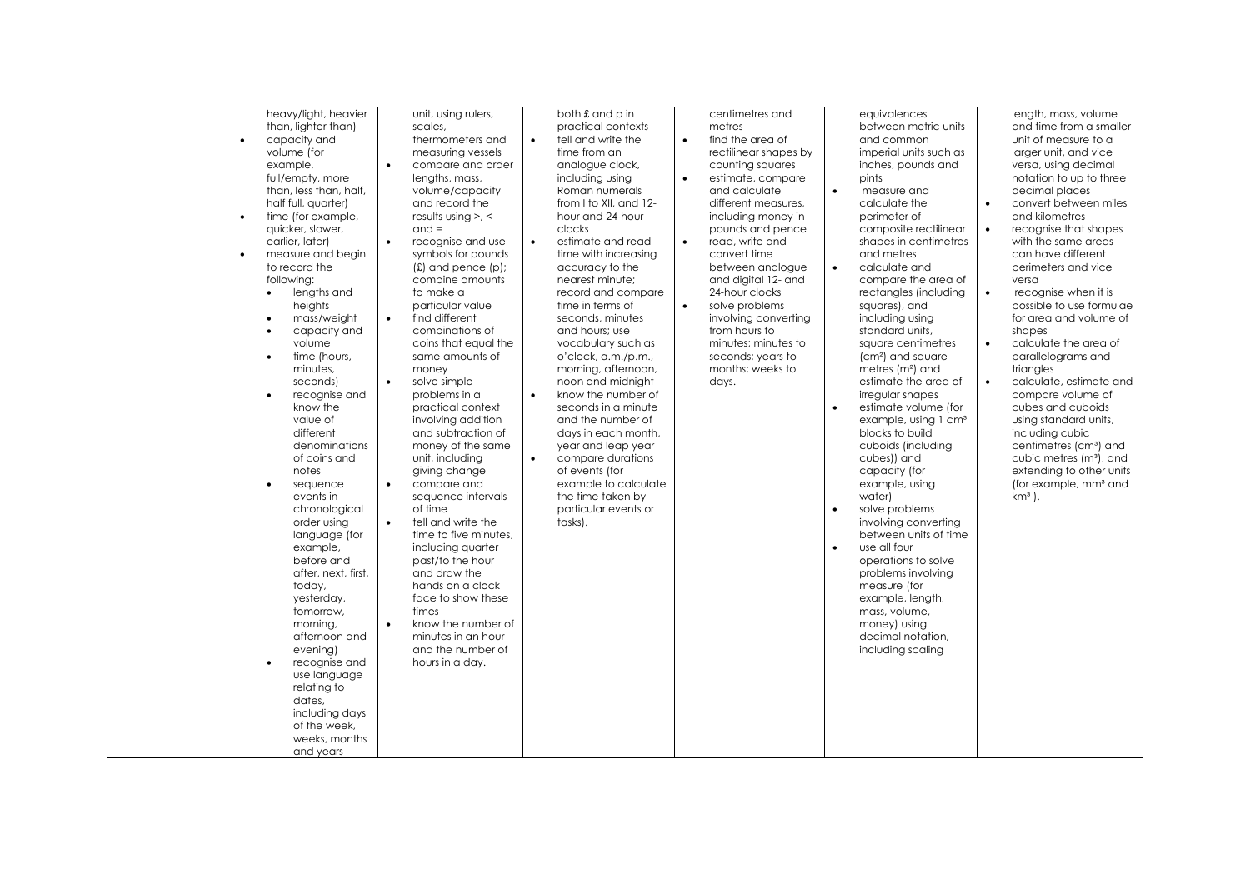| heavy/light, heavier<br>both £ and p in<br>unit, using rulers,<br>centimetres and                                   | equivalences<br>length, mass, volume                      |
|---------------------------------------------------------------------------------------------------------------------|-----------------------------------------------------------|
| than, lighter than)<br>scales,<br>practical contexts<br>metres                                                      | between metric units<br>and time from a smaller           |
| $\bullet$<br>capacity and<br>tell and write the<br>find the area of<br>thermometers and<br>$\bullet$<br>$\bullet$   | unit of measure to a<br>and common                        |
| volume (for<br>measuring vessels<br>time from an<br>rectilinear shapes by                                           | imperial units such as<br>larger unit, and vice           |
| example,<br>$\bullet$<br>compare and order<br>analogue clock,<br>counting squares                                   | inches, pounds and<br>versa, using decimal                |
| full/empty, more<br>lengths, mass,<br>including using<br>$\bullet$<br>estimate, compare                             | pints<br>notation to up to three                          |
| than, less than, half,<br>volume/capacity<br>Roman numerals<br>and calculate<br>$\bullet$                           | decimal places<br>measure and                             |
| from I to XII, and 12-<br>half full, quarter)<br>and record the<br>different measures.                              | convert between miles<br>calculate the                    |
| time (for example,<br>$\bullet$<br>results using $> 5$ , $\le$<br>hour and 24-hour<br>including money in            | perimeter of<br>and kilometres                            |
| $and =$<br>quicker, slower,<br>clocks<br>pounds and pence                                                           | composite rectilinear<br>recognise that shapes            |
| $\bullet$<br>read, write and<br>earlier, later)<br>recognise and use<br>estimate and read<br>$\bullet$<br>$\bullet$ | with the same areas<br>shapes in centimetres              |
| convert time<br>$\bullet$<br>symbols for pounds<br>time with increasing<br>measure and begin                        | can have different<br>and metres                          |
| to record the<br>$(f)$ and pence $(p)$ ;<br>between analogue<br>accuracy to the<br>$\bullet$                        | calculate and<br>perimeters and vice                      |
| combine amounts<br>and digital 12- and<br>following:<br>nearest minute:                                             | compare the area of<br>versa                              |
|                                                                                                                     | $\bullet$                                                 |
| lengths and<br>to make a<br>record and compare<br>24-hour clocks<br>$\bullet$<br>$\bullet$                          | rectangles (including<br>recognise when it is             |
| particular value<br>solve problems<br>heights<br>time in terms of                                                   | possible to use formulae<br>squares), and                 |
| $\bullet$<br>find different<br>seconds, minutes<br>involving converting<br>mass/weight<br>$\bullet$                 | including using<br>for area and volume of                 |
| from hours to<br>capacity and<br>combinations of<br>and hours: use<br>$\bullet$                                     | standard units.<br>shapes                                 |
| volume<br>coins that equal the<br>vocabulary such as<br>minutes; minutes to                                         | calculate the area of<br>square centimetres<br>$\bullet$  |
| time (hours,<br>same amounts of<br>o'clock, a.m./p.m.,<br>seconds; years to<br>$\bullet$                            | (cm <sup>2</sup> ) and square<br>parallelograms and       |
| minutes.<br>morning, afternoon,<br>months; weeks to<br>money                                                        | metres (m <sup>2</sup> ) and<br>triangles                 |
| $\bullet$<br>solve simple<br>noon and midnight<br>seconds)<br>days.                                                 | estimate the area of<br>calculate, estimate and           |
| know the number of<br>problems in a<br>recognise and<br>$\bullet$<br>$\bullet$                                      | compare volume of<br>irregular shapes                     |
| know the<br>seconds in a minute<br>practical context<br>$\bullet$                                                   | estimate volume (for<br>cubes and cuboids                 |
| value of<br>involving addition<br>and the number of                                                                 | example, using 1 cm <sup>3</sup><br>using standard units, |
| different<br>and subtraction of<br>days in each month,                                                              | blocks to build<br>including cubic                        |
| denominations<br>money of the same<br>year and leap year                                                            | cuboids (including<br>centimetres (cm <sup>3</sup> ) and  |
| of coins and<br>unit, including<br>compare durations<br>$\bullet$                                                   | cubes)) and<br>cubic metres (m <sup>3</sup> ), and        |
| of events (for<br>giving change<br>notes                                                                            | extending to other units<br>capacity (for                 |
| $\bullet$<br>compare and<br>example to calculate<br>sequence<br>$\bullet$                                           | example, using<br>(for example, mm <sup>3</sup> and       |
| sequence intervals<br>the time taken by<br>events in                                                                | km <sup>3</sup> ).<br>water)                              |
| of time<br>particular events or<br>chronological<br>$\bullet$                                                       | solve problems                                            |
| $\bullet$<br>tell and write the<br>order using<br>tasks).                                                           | involving converting                                      |
| time to five minutes,<br>language (for                                                                              | between units of time                                     |
| $\bullet$                                                                                                           | use all four                                              |
| example,<br>including quarter<br>before and                                                                         |                                                           |
| past/to the hour<br>and draw the                                                                                    | operations to solve                                       |
| after, next, first,                                                                                                 | problems involving                                        |
| hands on a clock<br>today,                                                                                          | measure (for                                              |
| face to show these<br>yesterday,                                                                                    | example, length,                                          |
| tomorrow,<br>times                                                                                                  | mass, volume,                                             |
| $\bullet$<br>know the number of<br>mornina.                                                                         | money) using                                              |
| minutes in an hour<br>afternoon and                                                                                 | decimal notation,                                         |
| evening)<br>and the number of                                                                                       | including scaling                                         |
| recognise and<br>hours in a day.                                                                                    |                                                           |
| use language                                                                                                        |                                                           |
| relating to                                                                                                         |                                                           |
| dates,                                                                                                              |                                                           |
| including days                                                                                                      |                                                           |
| of the week.                                                                                                        |                                                           |
| weeks, months                                                                                                       |                                                           |
| and years                                                                                                           |                                                           |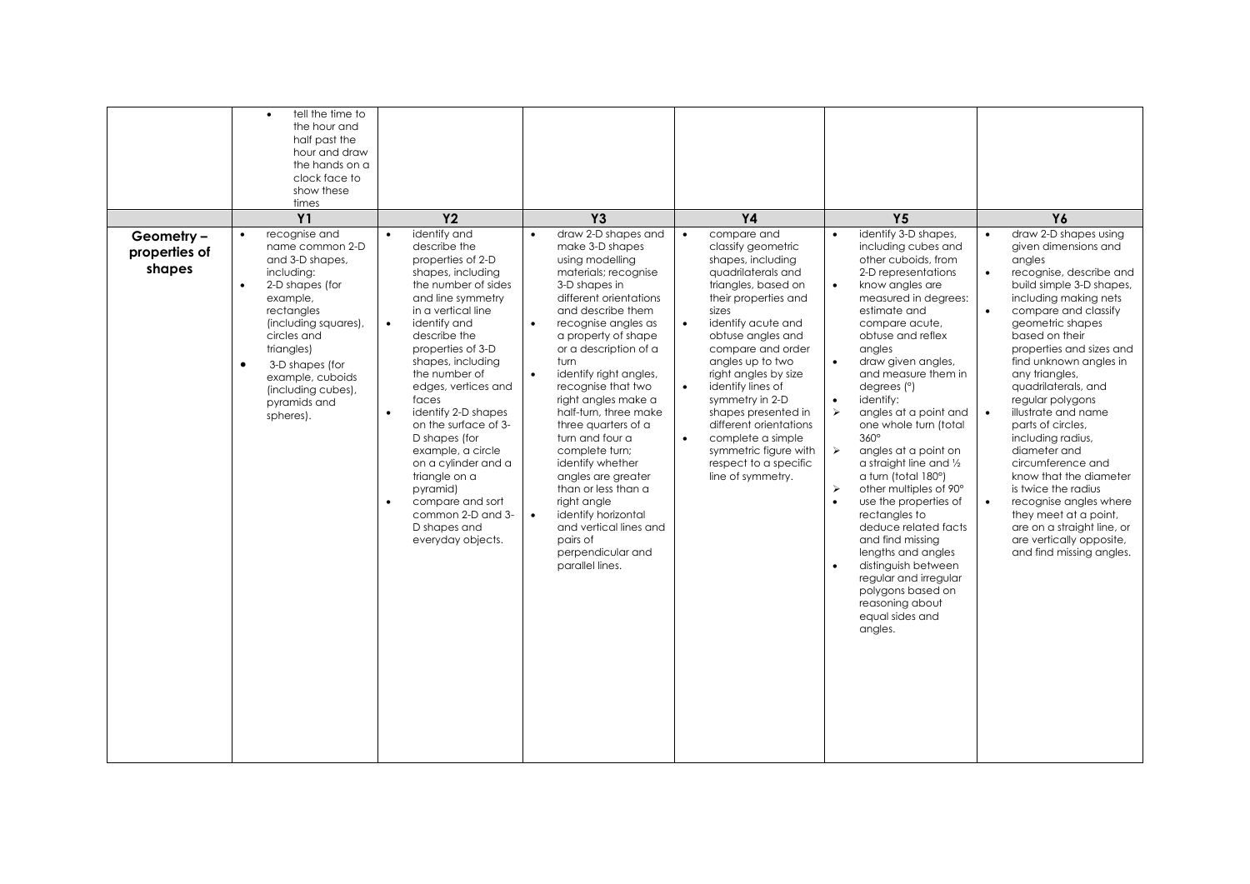|                                       | tell the time to<br>$\bullet$<br>the hour and<br>half past the<br>hour and draw<br>the hands on a<br>clock face to<br>show these<br>times<br>Y1                                                                                                                                         | <b>Y2</b>                                                                                                                                                                                                                                                                                                                                                                                                                                                                                                                                      | <b>Y3</b>                                                                                                                                                                                                                                                                                                                                                                                                                                                                                                                                                                                                                             | <b>Y4</b>                                                                                                                                                                                                                                                                                                                                                                                                                                                                                 | Y <sub>5</sub>                                                                                                                                                                                                                                                                                                                                                                                                                                                                                                                                                                                                                                                                                                                                                                                                  | Y6                                                                                                                                                                                                                                                                                                                                                                                                                                                                                                                                                                                                                       |
|---------------------------------------|-----------------------------------------------------------------------------------------------------------------------------------------------------------------------------------------------------------------------------------------------------------------------------------------|------------------------------------------------------------------------------------------------------------------------------------------------------------------------------------------------------------------------------------------------------------------------------------------------------------------------------------------------------------------------------------------------------------------------------------------------------------------------------------------------------------------------------------------------|---------------------------------------------------------------------------------------------------------------------------------------------------------------------------------------------------------------------------------------------------------------------------------------------------------------------------------------------------------------------------------------------------------------------------------------------------------------------------------------------------------------------------------------------------------------------------------------------------------------------------------------|-------------------------------------------------------------------------------------------------------------------------------------------------------------------------------------------------------------------------------------------------------------------------------------------------------------------------------------------------------------------------------------------------------------------------------------------------------------------------------------------|-----------------------------------------------------------------------------------------------------------------------------------------------------------------------------------------------------------------------------------------------------------------------------------------------------------------------------------------------------------------------------------------------------------------------------------------------------------------------------------------------------------------------------------------------------------------------------------------------------------------------------------------------------------------------------------------------------------------------------------------------------------------------------------------------------------------|--------------------------------------------------------------------------------------------------------------------------------------------------------------------------------------------------------------------------------------------------------------------------------------------------------------------------------------------------------------------------------------------------------------------------------------------------------------------------------------------------------------------------------------------------------------------------------------------------------------------------|
| Geometry -<br>properties of<br>shapes | recognise and<br>name common 2-D<br>and 3-D shapes,<br>including:<br>$\bullet$<br>2-D shapes (for<br>example,<br>rectangles<br>(including squares),<br>circles and<br>triangles)<br>$\bullet$<br>3-D shapes (for<br>example, cuboids<br>(including cubes),<br>pyramids and<br>spheres). | identify and<br>$\bullet$<br>describe the<br>properties of 2-D<br>shapes, including<br>the number of sides<br>and line symmetry<br>in a vertical line<br>$\bullet$<br>identify and<br>describe the<br>properties of 3-D<br>shapes, including<br>the number of<br>edges, vertices and<br>faces<br>identify 2-D shapes<br>$\bullet$<br>on the surface of 3-<br>D shapes (for<br>example, a circle<br>on a cylinder and a<br>triangle on a<br>pyramid)<br>compare and sort<br>$\bullet$<br>common 2-D and 3-<br>D shapes and<br>everyday objects. | draw 2-D shapes and<br>$\bullet$<br>make 3-D shapes<br>using modelling<br>materials; recognise<br>3-D shapes in<br>different orientations<br>and describe them<br>recognise angles as<br>$\bullet$<br>a property of shape<br>or a description of a<br>turn<br>identify right angles,<br>$\bullet$<br>recognise that two<br>right angles make a<br>half-turn, three make<br>three quarters of a<br>turn and four a<br>complete turn;<br>identify whether<br>angles are greater<br>than or less than a<br>right angle<br>identify horizontal<br>$\bullet$<br>and vertical lines and<br>pairs of<br>perpendicular and<br>parallel lines. | compare and<br>$\bullet$<br>classify geometric<br>shapes, including<br>quadrilaterals and<br>triangles, based on<br>their properties and<br>sizes<br>identify acute and<br>$\bullet$<br>obtuse angles and<br>compare and order<br>angles up to two<br>right angles by size<br>identify lines of<br>$\bullet$<br>symmetry in 2-D<br>shapes presented in<br>different orientations<br>complete a simple<br>$\bullet$<br>symmetric figure with<br>respect to a specific<br>line of symmetry. | identify 3-D shapes,<br>including cubes and<br>other cuboids, from<br>2-D representations<br>know angles are<br>$\bullet$<br>measured in degrees:<br>estimate and<br>compare acute,<br>obtuse and reflex<br>angles<br>draw given angles,<br>$\bullet$<br>and measure them in<br>degrees $(°)$<br>identify:<br>$\bullet$<br>angles at a point and<br>➤<br>one whole turn (total<br>$360^\circ$<br>$\blacktriangleright$<br>angles at a point on<br>a straight line and 1/2<br>a turn (total 180°)<br>$\blacktriangleright$<br>other multiples of 90°<br>$\bullet$<br>use the properties of<br>rectangles to<br>deduce related facts<br>and find missing<br>lengths and angles<br>distinguish between<br>$\bullet$<br>regular and irregular<br>polygons based on<br>reasoning about<br>equal sides and<br>angles. | draw 2-D shapes using<br>given dimensions and<br>angles<br>recognise, describe and<br>build simple 3-D shapes,<br>including making nets<br>compare and classify<br>geometric shapes<br>based on their<br>properties and sizes and<br>find unknown angles in<br>any triangles,<br>quadrilaterals, and<br>regular polygons<br>illustrate and name<br>parts of circles,<br>including radius,<br>diameter and<br>circumference and<br>know that the diameter<br>is twice the radius<br>recognise angles where<br>they meet at a point,<br>are on a straight line, or<br>are vertically opposite,<br>and find missing angles. |